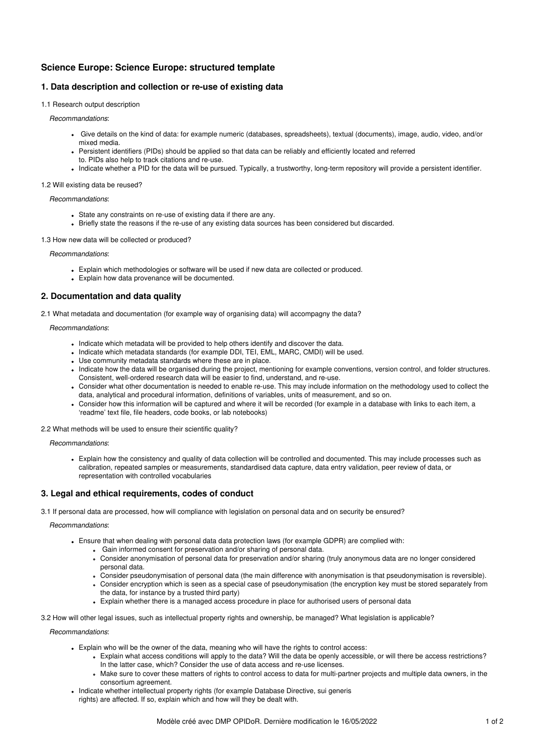# **Science Europe: Science Europe: structured template**

## **1. Data description and collection or re-use of existing data**

1.1 Research output description

*Recommandations*:

- Give details on the kind of data: for example numeric (databases, spreadsheets), textual (documents), image, audio, video, and/or mixed media.
- Persistent identifiers (PIDs) should be applied so that data can be reliably and efficiently located and referred to. PIDs also help to track citations and re-use.
- Indicate whether a PID for the data will be pursued. Typically, a trustworthy, long-term repository will provide a persistent identifier.

#### 1.2 Will existing data be reused?

*Recommandations*:

- State any constraints on re-use of existing data if there are any.
- Briefly state the reasons if the re-use of any existing data sources has been considered but discarded.

1.3 How new data will be collected or produced?

*Recommandations*:

- Explain which methodologies or software will be used if new data are collected or produced.
- Explain how data provenance will be documented.

### **2. Documentation and data quality**

2.1 What metadata and documentation (for example way of organising data) will accompagny the data?

*Recommandations*:

- . Indicate which metadata will be provided to help others identify and discover the data.
- Indicate which metadata standards (for example DDI, TEI, EML, MARC, CMDI) will be used.
- Use community metadata standards where these are in place.
- . Indicate how the data will be organised during the project, mentioning for example conventions, version control, and folder structures. Consistent, well-ordered research data will be easier to find, understand, and re-use.
- Consider what other documentation is needed to enable re-use. This may include information on the methodology used to collect the data, analytical and procedural information, definitions of variables, units of measurement, and so on.
- Consider how this information will be captured and where it will be recorded (for example in a database with links to each item, a 'readme' text file, file headers, code books, or lab notebooks)

2.2 What methods will be used to ensure their scientific quality?

*Recommandations*:

Explain how the consistency and quality of data collection will be controlled and documented. This may include processes such as calibration, repeated samples or measurements, standardised data capture, data entry validation, peer review of data, or representation with controlled vocabularies

### **3. Legal and ethical requirements, codes of conduct**

3.1 If personal data are processed, how will compliance with legislation on personal data and on security be ensured?

#### *Recommandations*:

- Ensure that when dealing with personal data data protection laws (for example GDPR) are complied with:
	- Gain informed consent for preservation and/or sharing of personal data.
	- Consider anonymisation of personal data for preservation and/or sharing (truly anonymous data are no longer considered personal data.
	- Consider pseudonymisation of personal data (the main difference with anonymisation is that pseudonymisation is reversible).
	- Consider encryption which is seen as a special case of pseudonymisation (the encryption key must be stored separately from the data, for instance by a trusted third party)
	- Explain whether there is a managed access procedure in place for authorised users of personal data

3.2 How will other legal issues, such as intellectual property rights and ownership, be managed? What legislation is applicable?

*Recommandations*:

- Explain who will be the owner of the data, meaning who will have the rights to control access:
	- Explain what access conditions will apply to the data? Will the data be openly accessible, or will there be access restrictions? In the latter case, which? Consider the use of data access and re-use licenses.
	- Make sure to cover these matters of rights to control access to data for multi-partner projects and multiple data owners, in the consortium agreement.
- Indicate whether intellectual property rights (for example Database Directive, sui generis rights) are affected. If so, explain which and how will they be dealt with.